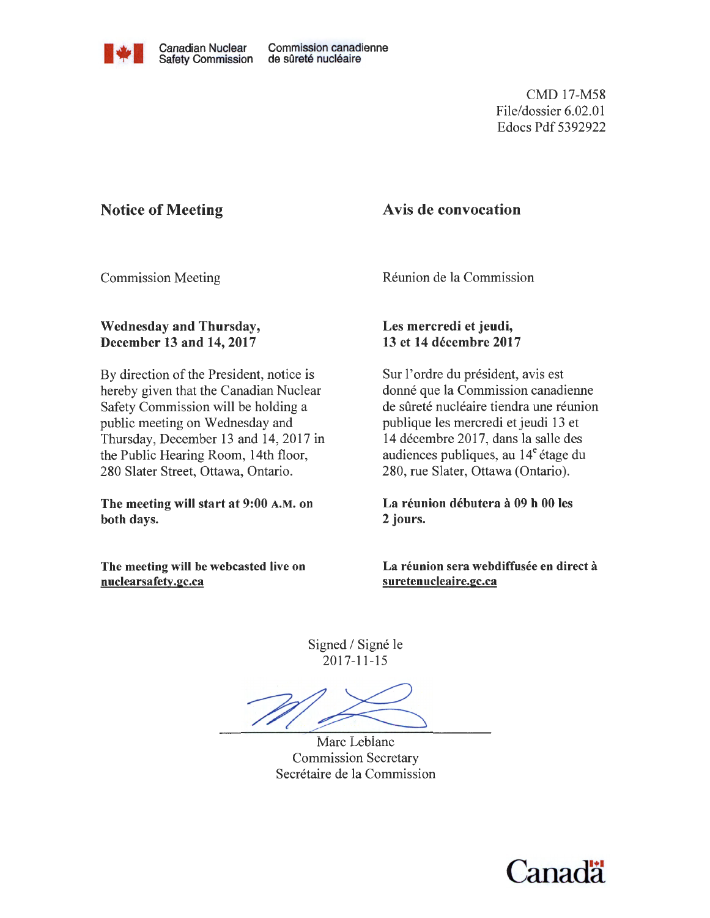

CMD 17-M58 File/dossier 6.02.01 Edocs Pdf 5392922

# Notice of Meeting

## Avis de convocation

Commission Meeting

Reunion de la Commission

## Wednesday and Thursday, December 13 and 14, 2017

By direction of the President, notice is hereby given that the Canadian Nuclear Safety Commission will be holding a public meeting on Wednesday and Thursday, December 13 and 14, 2017 in the Public Hearing Room, 14th floor, 280 Slater Street, Ottawa, Ontario.

The meeting will start at 9:00 A.M. on both days.

The meeting will be webcasted live on nuclearsafety.gc.ca

Les mercredi et jeudi,

# 13 et 14 decembre 2017

Sur l'ordre du président, avis est donné que la Commission canadienne de sûreté nucléaire tiendra une réunion publique les mercredi et jeudi 13 et 14 decembre 2017, dans la salle des audiences publiques, au  $14<sup>e</sup>$  étage du 280, rue Slater, Ottawa (Ontario).

La réunion débutera à 09 h 00 les 2 jours.

La réunion sera webdiffusée en direct à suretenucleaire.gc.ca

Signed / Signé le 2017-11-15

Marc Leblanc Commission Secretary Secretaire de la Commission

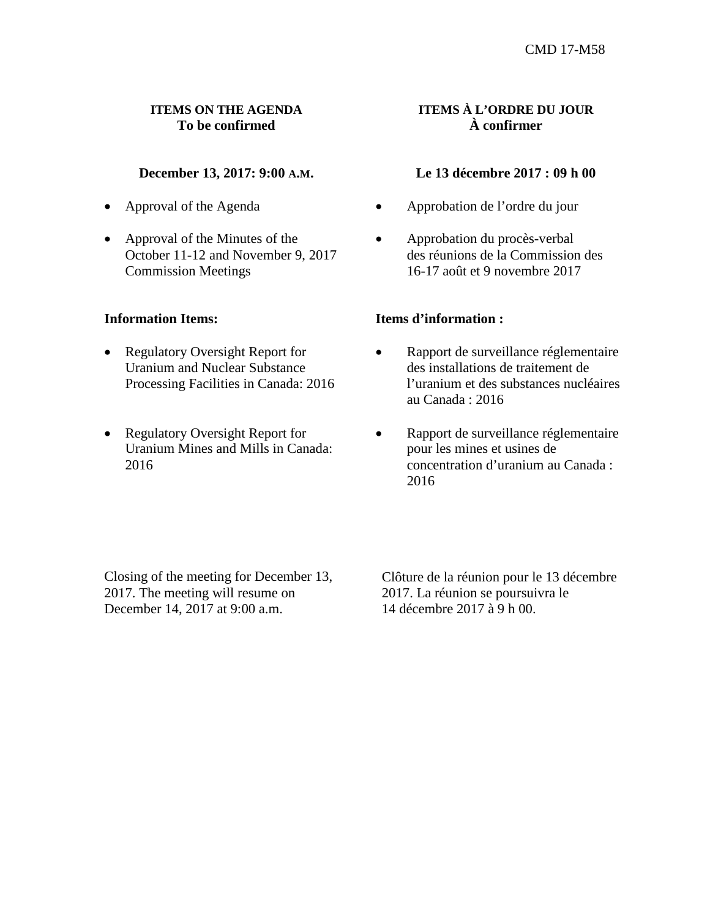#### **ITEMS ON THE AGENDA To be confirmed**

#### **December 13, 2017: 9:00 A.M.**

- Approval of the Agenda
- Approval of the Minutes of the October 11-12 and November 9, 2017 Commission Meetings

#### **Information Items:**

- Regulatory Oversight Report for Uranium and Nuclear Substance Processing Facilities in Canada: 2016
- Regulatory Oversight Report for Uranium Mines and Mills in Canada: 2016

#### **ITEMS À L'ORDRE DU JOUR À confirmer**

#### **Le 13 décembre 2017 : 09 h 00**

- Approbation de l'ordre du jour
- Approbation du procès-verbal des réunions de la Commission des 16-17 août et 9 novembre 2017

#### **Items d'information :**

- Rapport de surveillance réglementaire des installations de traitement de l'uranium et des substances nucléaires au Canada : 2016
- Rapport de surveillance réglementaire pour les mines et usines de concentration d'uranium au Canada : 2016

Closing of the meeting for December 13, 2017. The meeting will resume on December 14, 2017 at 9:00 a.m.

Clôture de la réunion pour le 13 décembre 2017. La réunion se poursuivra le 14 décembre 2017 à 9 h 00.